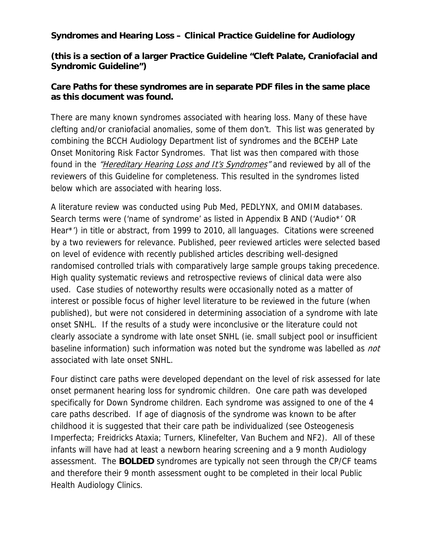## **Syndromes and Hearing Loss – Clinical Practice Guideline for Audiology**

**(this is a section of a larger Practice Guideline "Cleft Palate, Craniofacial and Syndromic Guideline")** 

## **Care Paths for these syndromes are in separate PDF files in the same place as this document was found.**

There are many known syndromes associated with hearing loss. Many of these have clefting and/or craniofacial anomalies, some of them don't. This list was generated by combining the BCCH Audiology Department list of syndromes and the BCEHP Late Onset Monitoring Risk Factor Syndromes. That list was then compared with those found in the "Hereditary Hearing Loss and It's Syndromes" and reviewed by all of the reviewers of this Guideline for completeness. This resulted in the syndromes listed below which are associated with hearing loss.

A literature review was conducted using Pub Med, PEDLYNX, and OMIM databases. Search terms were ('name of syndrome' as listed in Appendix B AND ('Audio\*' OR Hear\*') in title or abstract, from 1999 to 2010, all languages. Citations were screened by a two reviewers for relevance. Published, peer reviewed articles were selected based on level of evidence with recently published articles describing well-designed randomised controlled trials with comparatively large sample groups taking precedence. High quality systematic reviews and retrospective reviews of clinical data were also used. Case studies of noteworthy results were occasionally noted as a matter of interest or possible focus of higher level literature to be reviewed in the future (when published), but were not considered in determining association of a syndrome with late onset SNHL. If the results of a study were inconclusive or the literature could not clearly associate a syndrome with late onset SNHL (ie. small subject pool or insufficient baseline information) such information was noted but the syndrome was labelled as *not* associated with late onset SNHL.

Four distinct care paths were developed dependant on the level of risk assessed for late onset permanent hearing loss for syndromic children. One care path was developed specifically for Down Syndrome children. Each syndrome was assigned to one of the 4 care paths described. If age of diagnosis of the syndrome was known to be after childhood it is suggested that their care path be individualized (see Osteogenesis Imperfecta; Freidricks Ataxia; Turners, Klinefelter, Van Buchem and NF2). All of these infants will have had at least a newborn hearing screening and a 9 month Audiology assessment. The **BOLDED** syndromes are typically not seen through the CP/CF teams and therefore their 9 month assessment ought to be completed in their local Public Health Audiology Clinics.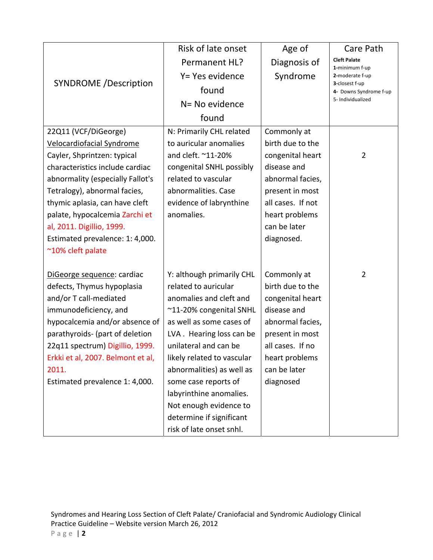|                                   | Risk of late onset         | Age of            | Care Path                                |
|-----------------------------------|----------------------------|-------------------|------------------------------------------|
|                                   | Permanent HL?              | Diagnosis of      | <b>Cleft Palate</b><br>1-minimum f-up    |
|                                   | Y= Yes evidence            | Syndrome          | 2-moderate f-up                          |
| <b>SYNDROME</b> /Description      | found                      |                   | 3-closest f-up<br>4- Downs Syndrome f-up |
|                                   | N= No evidence             |                   | 5- Individualized                        |
|                                   | found                      |                   |                                          |
| 22Q11 (VCF/DiGeorge)              | N: Primarily CHL related   | Commonly at       |                                          |
| Velocardiofacial Syndrome         | to auricular anomalies     | birth due to the  |                                          |
| Cayler, Shprintzen: typical       | and cleft. ~11-20%         | congenital heart  | $\overline{2}$                           |
| characteristics include cardiac   | congenital SNHL possibly   | disease and       |                                          |
| abnormality (especially Fallot's  | related to vascular        | abnormal facies,  |                                          |
| Tetralogy), abnormal facies,      | abnormalities. Case        | present in most   |                                          |
| thymic aplasia, can have cleft    | evidence of labrynthine    | all cases. If not |                                          |
| palate, hypocalcemia Zarchi et    | anomalies.                 | heart problems    |                                          |
| al, 2011. Digillio, 1999.         |                            | can be later      |                                          |
| Estimated prevalence: 1: 4,000.   |                            | diagnosed.        |                                          |
| ~10% cleft palate                 |                            |                   |                                          |
|                                   |                            |                   |                                          |
| DiGeorge sequence: cardiac        | Y: although primarily CHL  | Commonly at       | $\overline{2}$                           |
| defects, Thymus hypoplasia        | related to auricular       | birth due to the  |                                          |
| and/or T call-mediated            | anomalies and cleft and    | congenital heart  |                                          |
| immunodeficiency, and             | ~11-20% congenital SNHL    | disease and       |                                          |
| hypocalcemia and/or absence of    | as well as some cases of   | abnormal facies,  |                                          |
| parathyroids- (part of deletion   | LVA. Hearing loss can be   | present in most   |                                          |
| 22q11 spectrum) Digillio, 1999.   | unilateral and can be      | all cases. If no  |                                          |
| Erkki et al, 2007. Belmont et al, | likely related to vascular | heart problems    |                                          |
| 2011.                             | abnormalities) as well as  | can be later      |                                          |
| Estimated prevalence 1: 4,000.    | some case reports of       | diagnosed         |                                          |
|                                   | labyrinthine anomalies.    |                   |                                          |
|                                   | Not enough evidence to     |                   |                                          |
|                                   | determine if significant   |                   |                                          |
|                                   | risk of late onset snhl.   |                   |                                          |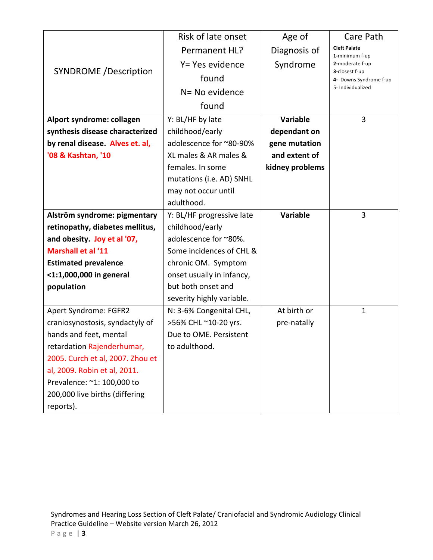|                                  | Risk of late onset        | Age of          | Care Path                                |
|----------------------------------|---------------------------|-----------------|------------------------------------------|
|                                  | Permanent HL?             | Diagnosis of    | <b>Cleft Palate</b><br>1-minimum f-up    |
|                                  | Y= Yes evidence           | Syndrome        | 2-moderate f-up                          |
| <b>SYNDROME</b> /Description     | found                     |                 | 3-closest f-up<br>4- Downs Syndrome f-up |
|                                  | N= No evidence            |                 | 5- Individualized                        |
|                                  | found                     |                 |                                          |
| Alport syndrome: collagen        | Y: BL/HF by late          | <b>Variable</b> | 3                                        |
| synthesis disease characterized  | childhood/early           | dependant on    |                                          |
| by renal disease. Alves et. al,  | adolescence for ~80-90%   | gene mutation   |                                          |
| '08 & Kashtan, '10               | XL males & AR males &     | and extent of   |                                          |
|                                  | females. In some          | kidney problems |                                          |
|                                  | mutations (i.e. AD) SNHL  |                 |                                          |
|                                  | may not occur until       |                 |                                          |
|                                  | adulthood.                |                 |                                          |
| Alström syndrome: pigmentary     | Y: BL/HF progressive late | <b>Variable</b> | 3                                        |
| retinopathy, diabetes mellitus,  | childhood/early           |                 |                                          |
| and obesity. Joy et al '07,      | adolescence for ~80%.     |                 |                                          |
| <b>Marshall et al '11</b>        | Some incidences of CHL &  |                 |                                          |
| <b>Estimated prevalence</b>      | chronic OM. Symptom       |                 |                                          |
| <1:1,000,000 in general          | onset usually in infancy, |                 |                                          |
| population                       | but both onset and        |                 |                                          |
|                                  | severity highly variable. |                 |                                          |
| Apert Syndrome: FGFR2            | N: 3-6% Congenital CHL,   | At birth or     | $\mathbf{1}$                             |
| craniosynostosis, syndactyly of  | >56% CHL ~10-20 yrs.      | pre-natally     |                                          |
| hands and feet, mental           | Due to OME. Persistent    |                 |                                          |
| retardation Rajenderhumar,       | to adulthood.             |                 |                                          |
| 2005. Curch et al, 2007. Zhou et |                           |                 |                                          |
| al, 2009. Robin et al, 2011.     |                           |                 |                                          |
| Prevalence: ~1: 100,000 to       |                           |                 |                                          |
| 200,000 live births (differing   |                           |                 |                                          |
| reports).                        |                           |                 |                                          |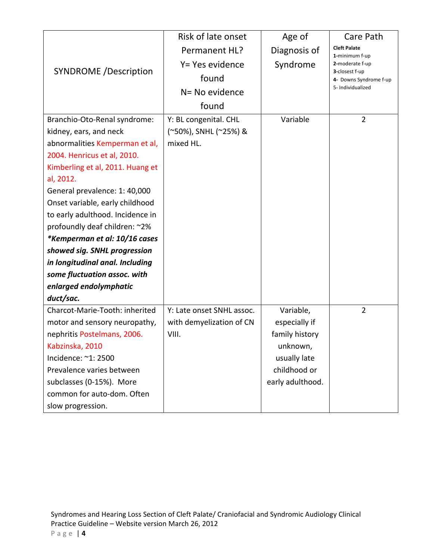|                                  | Risk of late onset        | Age of           | Care Path                                |
|----------------------------------|---------------------------|------------------|------------------------------------------|
|                                  | Permanent HL?             | Diagnosis of     | <b>Cleft Palate</b><br>1-minimum f-up    |
|                                  | Y= Yes evidence           | Syndrome         | 2-moderate f-up                          |
| <b>SYNDROME</b> /Description     | found                     |                  | 3-closest f-up<br>4- Downs Syndrome f-up |
|                                  | N= No evidence            |                  | 5- Individualized                        |
|                                  | found                     |                  |                                          |
| Branchio-Oto-Renal syndrome:     | Y: BL congenital. CHL     | Variable         | $\overline{2}$                           |
| kidney, ears, and neck           | (~50%), SNHL (~25%) &     |                  |                                          |
| abnormalities Kemperman et al,   | mixed HL.                 |                  |                                          |
| 2004. Henricus et al, 2010.      |                           |                  |                                          |
| Kimberling et al, 2011. Huang et |                           |                  |                                          |
| al, 2012.                        |                           |                  |                                          |
| General prevalence: 1: 40,000    |                           |                  |                                          |
| Onset variable, early childhood  |                           |                  |                                          |
| to early adulthood. Incidence in |                           |                  |                                          |
| profoundly deaf children: ~2%    |                           |                  |                                          |
| *Kemperman et al: 10/16 cases    |                           |                  |                                          |
| showed sig. SNHL progression     |                           |                  |                                          |
| in longitudinal anal. Including  |                           |                  |                                          |
| some fluctuation assoc. with     |                           |                  |                                          |
| enlarged endolymphatic           |                           |                  |                                          |
| duct/sac.                        |                           |                  |                                          |
| Charcot-Marie-Tooth: inherited   | Y: Late onset SNHL assoc. | Variable,        | $\overline{2}$                           |
| motor and sensory neuropathy,    | with demyelization of CN  | especially if    |                                          |
| nephritis Postelmans, 2006.      | VIII.                     | family history   |                                          |
| Kabzinska, 2010                  |                           | unknown,         |                                          |
| Incidence: ~1: 2500              |                           | usually late     |                                          |
| Prevalence varies between        |                           | childhood or     |                                          |
| subclasses (0-15%). More         |                           | early adulthood. |                                          |
| common for auto-dom. Often       |                           |                  |                                          |
| slow progression.                |                           |                  |                                          |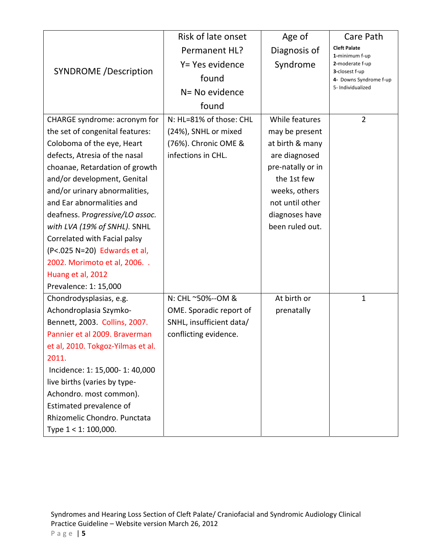|                                   | Risk of late onset       | Age of            | Care Path                                |
|-----------------------------------|--------------------------|-------------------|------------------------------------------|
|                                   | Permanent HL?            | Diagnosis of      | <b>Cleft Palate</b><br>1-minimum f-up    |
|                                   | Y= Yes evidence          | Syndrome          | 2-moderate f-up                          |
| <b>SYNDROME</b> /Description      | found                    |                   | 3-closest f-up<br>4- Downs Syndrome f-up |
|                                   | N= No evidence           |                   | 5- Individualized                        |
|                                   | found                    |                   |                                          |
| CHARGE syndrome: acronym for      | N: HL=81% of those: CHL  | While features    | $\overline{2}$                           |
| the set of congenital features:   | (24%), SNHL or mixed     | may be present    |                                          |
| Coloboma of the eye, Heart        | (76%). Chronic OME &     | at birth & many   |                                          |
| defects, Atresia of the nasal     | infections in CHL.       | are diagnosed     |                                          |
| choanae, Retardation of growth    |                          | pre-natally or in |                                          |
| and/or development, Genital       |                          | the 1st few       |                                          |
| and/or urinary abnormalities,     |                          | weeks, others     |                                          |
| and Ear abnormalities and         |                          | not until other   |                                          |
| deafness. Progressive/LO assoc.   |                          | diagnoses have    |                                          |
| with LVA (19% of SNHL). SNHL      |                          | been ruled out.   |                                          |
| Correlated with Facial palsy      |                          |                   |                                          |
| (P<.025 N=20) Edwards et al,      |                          |                   |                                          |
| 2002. Morimoto et al, 2006        |                          |                   |                                          |
| Huang et al, 2012                 |                          |                   |                                          |
| Prevalence: 1: 15,000             |                          |                   |                                          |
| Chondrodysplasias, e.g.           | N: CHL ~50%--OM &        | At birth or       | $\mathbf{1}$                             |
| Achondroplasia Szymko-            | OME. Sporadic report of  | prenatally        |                                          |
| Bennett, 2003. Collins, 2007.     | SNHL, insufficient data/ |                   |                                          |
| Pannier et al 2009. Braverman     | conflicting evidence.    |                   |                                          |
| et al, 2010. Tokgoz-Yilmas et al. |                          |                   |                                          |
| 2011.                             |                          |                   |                                          |
| Incidence: 1: 15,000- 1: 40,000   |                          |                   |                                          |
| live births (varies by type-      |                          |                   |                                          |
| Achondro. most common).           |                          |                   |                                          |
| Estimated prevalence of           |                          |                   |                                          |
| Rhizomelic Chondro. Punctata      |                          |                   |                                          |
| Type 1 < 1: 100,000.              |                          |                   |                                          |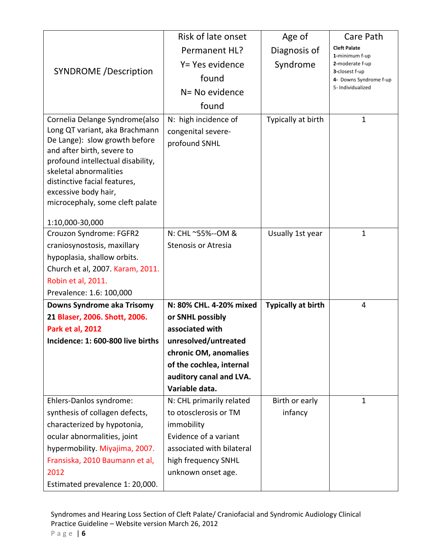|                                                                  | Risk of late onset                        | Age of                    | Care Path                                |
|------------------------------------------------------------------|-------------------------------------------|---------------------------|------------------------------------------|
|                                                                  | Permanent HL?                             | Diagnosis of              | <b>Cleft Palate</b>                      |
|                                                                  | Y= Yes evidence                           | Syndrome                  | 1-minimum f-up<br>2-moderate f-up        |
| <b>SYNDROME</b> /Description                                     | found                                     |                           | 3-closest f-up<br>4- Downs Syndrome f-up |
|                                                                  | N= No evidence                            |                           | 5- Individualized                        |
|                                                                  |                                           |                           |                                          |
|                                                                  | found                                     |                           |                                          |
| Cornelia Delange Syndrome(also<br>Long QT variant, aka Brachmann | N: high incidence of                      | Typically at birth        | $\mathbf{1}$                             |
| De Lange): slow growth before                                    | congenital severe-                        |                           |                                          |
| and after birth, severe to                                       | profound SNHL                             |                           |                                          |
| profound intellectual disability,                                |                                           |                           |                                          |
| skeletal abnormalities                                           |                                           |                           |                                          |
| distinctive facial features,<br>excessive body hair,             |                                           |                           |                                          |
| microcephaly, some cleft palate                                  |                                           |                           |                                          |
|                                                                  |                                           |                           |                                          |
| 1:10,000-30,000                                                  |                                           |                           |                                          |
| Crouzon Syndrome: FGFR2                                          | N: CHL ~55%--OM &                         | Usually 1st year          | $\mathbf{1}$                             |
| craniosynostosis, maxillary<br>hypoplasia, shallow orbits.       | <b>Stenosis or Atresia</b>                |                           |                                          |
| Church et al, 2007. Karam, 2011.                                 |                                           |                           |                                          |
| Robin et al, 2011.                                               |                                           |                           |                                          |
| Prevalence: 1.6: 100,000                                         |                                           |                           |                                          |
| Downs Syndrome aka Trisomy                                       | N: 80% CHL, 4-20% mixed                   | <b>Typically at birth</b> | 4                                        |
| 21 Blaser, 2006. Shott, 2006.                                    | or SNHL possibly                          |                           |                                          |
| <b>Park et al, 2012</b>                                          | associated with                           |                           |                                          |
| Incidence: 1: 600-800 live births                                | unresolved/untreated                      |                           |                                          |
|                                                                  | chronic OM, anomalies                     |                           |                                          |
|                                                                  | of the cochlea, internal                  |                           |                                          |
|                                                                  | auditory canal and LVA.                   |                           |                                          |
|                                                                  | Variable data.                            |                           |                                          |
| Ehlers-Danlos syndrome:                                          | N: CHL primarily related                  | Birth or early            | $\mathbf{1}$                             |
| synthesis of collagen defects,                                   | to otosclerosis or TM                     | infancy                   |                                          |
| characterized by hypotonia,                                      | immobility                                |                           |                                          |
| ocular abnormalities, joint                                      | Evidence of a variant                     |                           |                                          |
| hypermobility. Miyajima, 2007.                                   | associated with bilateral                 |                           |                                          |
| Fransiska, 2010 Baumann et al,<br>2012                           | high frequency SNHL<br>unknown onset age. |                           |                                          |
| Estimated prevalence 1: 20,000.                                  |                                           |                           |                                          |
|                                                                  |                                           |                           |                                          |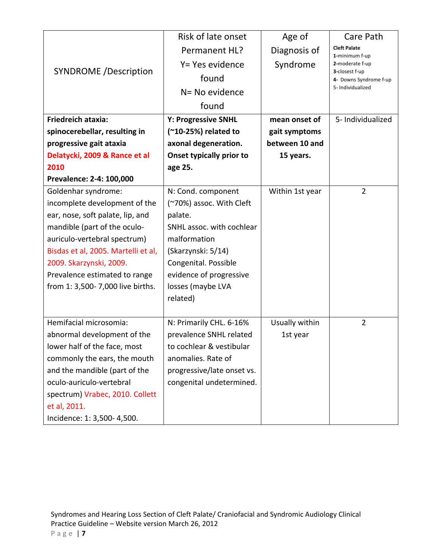|                                     | Risk of late onset              | Age of          | Care Path                                |
|-------------------------------------|---------------------------------|-----------------|------------------------------------------|
|                                     | Permanent HL?                   | Diagnosis of    | <b>Cleft Palate</b><br>1-minimum f-up    |
|                                     | Y= Yes evidence                 | Syndrome        | 2-moderate f-up                          |
| <b>SYNDROME</b> /Description        | found                           |                 | 3-closest f-up<br>4- Downs Syndrome f-up |
|                                     | N= No evidence                  |                 | 5- Individualized                        |
|                                     | found                           |                 |                                          |
| <b>Friedreich ataxia:</b>           | <b>Y: Progressive SNHL</b>      | mean onset of   | 5- Individualized                        |
| spinocerebellar, resulting in       | (~10-25%) related to            | gait symptoms   |                                          |
| progressive gait ataxia             | axonal degeneration.            | between 10 and  |                                          |
| Delatycki, 2009 & Rance et al       | <b>Onset typically prior to</b> | 15 years.       |                                          |
| 2010                                | age 25.                         |                 |                                          |
| Prevalence: 2-4: 100,000            |                                 |                 |                                          |
| Goldenhar syndrome:                 | N: Cond. component              | Within 1st year | $\overline{2}$                           |
| incomplete development of the       | (~70%) assoc. With Cleft        |                 |                                          |
| ear, nose, soft palate, lip, and    | palate.                         |                 |                                          |
| mandible (part of the oculo-        | SNHL assoc. with cochlear       |                 |                                          |
| auriculo-vertebral spectrum)        | malformation                    |                 |                                          |
| Bisdas et al, 2005. Martelli et al, | (Skarzynski: 5/14)              |                 |                                          |
| 2009. Skarzynski, 2009.             | Congenital. Possible            |                 |                                          |
| Prevalence estimated to range       | evidence of progressive         |                 |                                          |
| from 1: 3,500-7,000 live births.    | losses (maybe LVA               |                 |                                          |
|                                     | related)                        |                 |                                          |
|                                     |                                 |                 |                                          |
| Hemifacial microsomia:              | N: Primarily CHL. 6-16%         | Usually within  | $\overline{2}$                           |
| abnormal development of the         | prevalence SNHL related         | 1st year        |                                          |
| lower half of the face, most        | to cochlear & vestibular        |                 |                                          |
| commonly the ears, the mouth        | anomalies. Rate of              |                 |                                          |
| and the mandible (part of the       | progressive/late onset vs.      |                 |                                          |
| oculo-auriculo-vertebral            | congenital undetermined.        |                 |                                          |
| spectrum) Vrabec, 2010. Collett     |                                 |                 |                                          |
| et al, 2011.                        |                                 |                 |                                          |
| Incidence: 1: 3,500- 4,500.         |                                 |                 |                                          |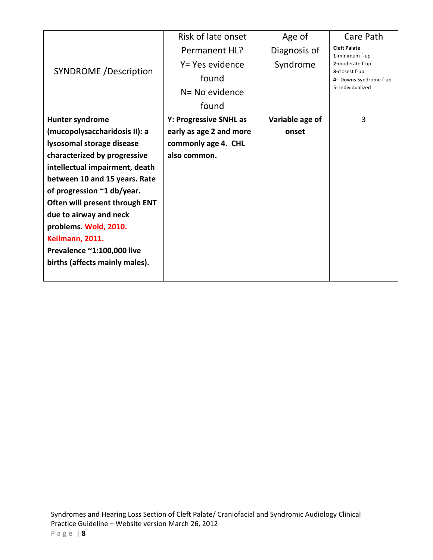|                                | Risk of late onset      | Age of          | Care Path                                |
|--------------------------------|-------------------------|-----------------|------------------------------------------|
|                                | Permanent HL?           | Diagnosis of    | <b>Cleft Palate</b><br>1-minimum f-up    |
|                                | Y= Yes evidence         | Syndrome        | 2-moderate f-up                          |
| <b>SYNDROME</b> / Description  | found                   |                 | 3-closest f-up<br>4- Downs Syndrome f-up |
|                                | N= No evidence          |                 | 5- Individualized                        |
|                                | found                   |                 |                                          |
| Hunter syndrome                | Y: Progressive SNHL as  | Variable age of | 3                                        |
| (mucopolysaccharidosis II): a  | early as age 2 and more | onset           |                                          |
| lysosomal storage disease      | commonly age 4. CHL     |                 |                                          |
| characterized by progressive   | also common.            |                 |                                          |
| intellectual impairment, death |                         |                 |                                          |
| between 10 and 15 years. Rate  |                         |                 |                                          |
| of progression ~1 db/year.     |                         |                 |                                          |
| Often will present through ENT |                         |                 |                                          |
| due to airway and neck         |                         |                 |                                          |
| problems. Wold, 2010.          |                         |                 |                                          |
| Keilmann, 2011.                |                         |                 |                                          |
| Prevalence ~1:100,000 live     |                         |                 |                                          |
| births (affects mainly males). |                         |                 |                                          |
|                                |                         |                 |                                          |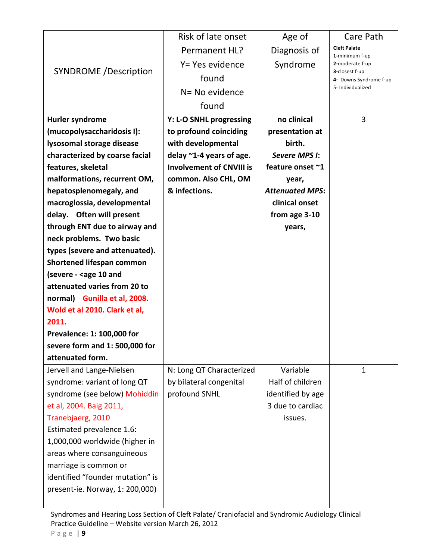|                                                                      | Risk of late onset              |                        | Care Path                         |
|----------------------------------------------------------------------|---------------------------------|------------------------|-----------------------------------|
|                                                                      |                                 | Age of                 | <b>Cleft Palate</b>               |
| <b>SYNDROME</b> /Description                                         | Permanent HL?                   | Diagnosis of           | 1-minimum f-up                    |
|                                                                      | Y= Yes evidence                 | Syndrome               | 2-moderate f-up<br>3-closest f-up |
|                                                                      | found                           |                        | 4- Downs Syndrome f-up            |
|                                                                      | N= No evidence                  |                        | 5- Individualized                 |
|                                                                      | found                           |                        |                                   |
| Hurler syndrome                                                      | Y: L-O SNHL progressing         | no clinical            | 3                                 |
| (mucopolysaccharidosis I):                                           | to profound coinciding          | presentation at        |                                   |
| lysosomal storage disease                                            | with developmental              | birth.                 |                                   |
| characterized by coarse facial                                       | delay $\sim$ 1-4 years of age.  | Severe MPS I:          |                                   |
| features, skeletal                                                   | <b>Involvement of CNVIII is</b> | feature onset ~1       |                                   |
| malformations, recurrent OM,                                         | common. Also CHL, OM            | year,                  |                                   |
| hepatosplenomegaly, and                                              | & infections.                   | <b>Attenuated MPS:</b> |                                   |
| macroglossia, developmental                                          |                                 | clinical onset         |                                   |
| delay. Often will present                                            |                                 | from age 3-10          |                                   |
| through ENT due to airway and                                        |                                 | years,                 |                                   |
| neck problems. Two basic                                             |                                 |                        |                                   |
| types (severe and attenuated).                                       |                                 |                        |                                   |
| <b>Shortened lifespan common</b>                                     |                                 |                        |                                   |
| (severe - <age 10="" and<="" td=""><td></td><td></td><td></td></age> |                                 |                        |                                   |
| attenuated varies from 20 to                                         |                                 |                        |                                   |
| normal) Gunilla et al, 2008.                                         |                                 |                        |                                   |
| Wold et al 2010. Clark et al,                                        |                                 |                        |                                   |
| 2011.                                                                |                                 |                        |                                   |
| Prevalence: 1: 100,000 for                                           |                                 |                        |                                   |
| severe form and 1: 500,000 for                                       |                                 |                        |                                   |
| attenuated form.                                                     |                                 |                        |                                   |
| Jervell and Lange-Nielsen                                            | N: Long QT Characterized        | Variable               | 1                                 |
| syndrome: variant of long QT                                         | by bilateral congenital         | Half of children       |                                   |
| syndrome (see below) Mohiddin                                        | profound SNHL                   | identified by age      |                                   |
| et al, 2004. Baig 2011,                                              |                                 | 3 due to cardiac       |                                   |
| Tranebjaerg, 2010                                                    |                                 | issues.                |                                   |
| Estimated prevalence 1.6:                                            |                                 |                        |                                   |
| 1,000,000 worldwide (higher in                                       |                                 |                        |                                   |
| areas where consanguineous                                           |                                 |                        |                                   |
| marriage is common or                                                |                                 |                        |                                   |
| identified "founder mutation" is                                     |                                 |                        |                                   |
| present-ie. Norway, 1: 200,000)                                      |                                 |                        |                                   |
|                                                                      |                                 |                        |                                   |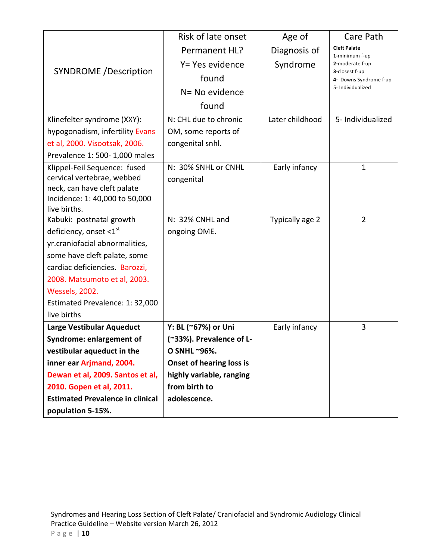|                                         | Risk of late onset              | Age of          | Care Path                                |
|-----------------------------------------|---------------------------------|-----------------|------------------------------------------|
|                                         | Permanent HL?                   | Diagnosis of    | <b>Cleft Palate</b><br>1-minimum f-up    |
|                                         | Y= Yes evidence                 | Syndrome        | 2-moderate f-up                          |
| <b>SYNDROME</b> /Description            | found                           |                 | 3-closest f-up<br>4- Downs Syndrome f-up |
|                                         | N= No evidence                  |                 | 5- Individualized                        |
|                                         | found                           |                 |                                          |
| Klinefelter syndrome (XXY):             | N: CHL due to chronic           | Later childhood | 5- Individualized                        |
| hypogonadism, infertility Evans         | OM, some reports of             |                 |                                          |
| et al, 2000. Visootsak, 2006.           | congenital snhl.                |                 |                                          |
| Prevalence 1: 500- 1,000 males          |                                 |                 |                                          |
| Klippel-Feil Sequence: fused            | N: 30% SNHL or CNHL             | Early infancy   | $\mathbf{1}$                             |
| cervical vertebrae, webbed              | congenital                      |                 |                                          |
| neck, can have cleft palate             |                                 |                 |                                          |
| Incidence: 1: 40,000 to 50,000          |                                 |                 |                                          |
| live births.                            |                                 |                 |                                          |
| Kabuki: postnatal growth                | N: 32% CNHL and                 | Typically age 2 | $\overline{2}$                           |
| deficiency, onset $\leq 1^{st}$         | ongoing OME.                    |                 |                                          |
| yr.craniofacial abnormalities,          |                                 |                 |                                          |
| some have cleft palate, some            |                                 |                 |                                          |
| cardiac deficiencies. Barozzi,          |                                 |                 |                                          |
| 2008. Matsumoto et al, 2003.            |                                 |                 |                                          |
| <b>Wessels, 2002.</b>                   |                                 |                 |                                          |
| Estimated Prevalence: 1: 32,000         |                                 |                 |                                          |
| live births                             |                                 |                 |                                          |
| Large Vestibular Aqueduct               | Y: BL (~67%) or Uni             | Early infancy   | 3                                        |
| <b>Syndrome: enlargement of</b>         | (~33%). Prevalence of L-        |                 |                                          |
| vestibular aqueduct in the              | O SNHL ~96%.                    |                 |                                          |
| inner ear Arjmand, 2004.                | <b>Onset of hearing loss is</b> |                 |                                          |
| Dewan et al, 2009. Santos et al,        | highly variable, ranging        |                 |                                          |
| 2010. Gopen et al, 2011.                | from birth to                   |                 |                                          |
| <b>Estimated Prevalence in clinical</b> | adolescence.                    |                 |                                          |
| population 5-15%.                       |                                 |                 |                                          |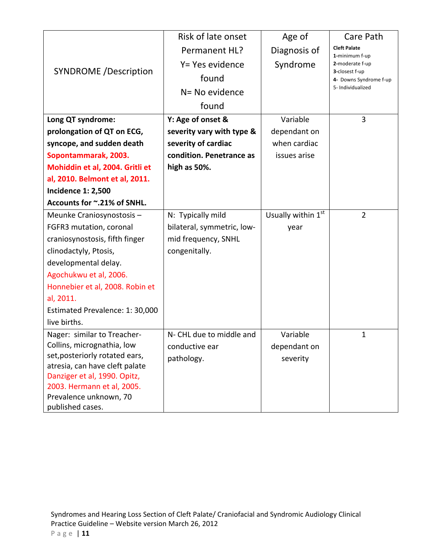|                                 | Risk of late onset         | Age of             | Care Path                                |
|---------------------------------|----------------------------|--------------------|------------------------------------------|
|                                 | Permanent HL?              | Diagnosis of       | <b>Cleft Palate</b><br>1-minimum f-up    |
|                                 | Y= Yes evidence            | Syndrome           | 2-moderate f-up                          |
| <b>SYNDROME</b> /Description    | found                      |                    | 3-closest f-up<br>4- Downs Syndrome f-up |
|                                 | N= No evidence             |                    | 5- Individualized                        |
|                                 | found                      |                    |                                          |
| Long QT syndrome:               | Y: Age of onset &          | Variable           | 3                                        |
| prolongation of QT on ECG,      | severity vary with type &  | dependant on       |                                          |
| syncope, and sudden death       | severity of cardiac        | when cardiac       |                                          |
| Sopontammarak, 2003.            | condition. Penetrance as   | issues arise       |                                          |
| Mohiddin et al, 2004. Gritli et | high as 50%.               |                    |                                          |
| al, 2010. Belmont et al, 2011.  |                            |                    |                                          |
| <b>Incidence 1: 2,500</b>       |                            |                    |                                          |
| Accounts for ~.21% of SNHL.     |                            |                    |                                          |
| Meunke Craniosynostosis-        | N: Typically mild          | Usually within 1st | $\overline{2}$                           |
| FGFR3 mutation, coronal         | bilateral, symmetric, low- | year               |                                          |
| craniosynostosis, fifth finger  | mid frequency, SNHL        |                    |                                          |
| clinodactyly, Ptosis,           | congenitally.              |                    |                                          |
| developmental delay.            |                            |                    |                                          |
| Agochukwu et al, 2006.          |                            |                    |                                          |
| Honnebier et al, 2008. Robin et |                            |                    |                                          |
| al, 2011.                       |                            |                    |                                          |
| Estimated Prevalence: 1: 30,000 |                            |                    |                                          |
| live births.                    |                            |                    |                                          |
| Nager: similar to Treacher-     | N- CHL due to middle and   | Variable           | $\mathbf 1$                              |
| Collins, micrognathia, low      | conductive ear             | dependant on       |                                          |
| set, posteriorly rotated ears,  | pathology.                 | severity           |                                          |
| atresia, can have cleft palate  |                            |                    |                                          |
| Danziger et al, 1990. Opitz,    |                            |                    |                                          |
| 2003. Hermann et al, 2005.      |                            |                    |                                          |
| Prevalence unknown, 70          |                            |                    |                                          |
| published cases.                |                            |                    |                                          |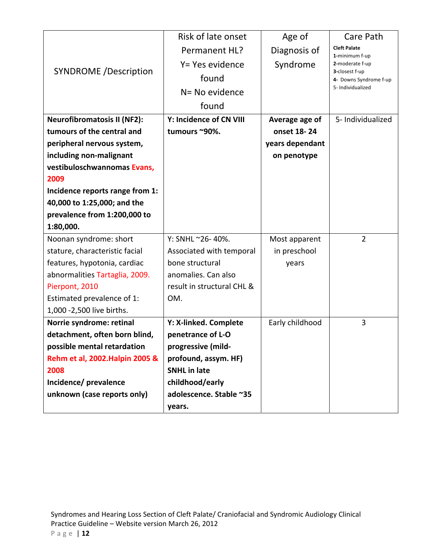|                                                             | Risk of late onset         | Age of          | Care Path                                |
|-------------------------------------------------------------|----------------------------|-----------------|------------------------------------------|
|                                                             | Permanent HL?              | Diagnosis of    | <b>Cleft Palate</b><br>1-minimum f-up    |
| <b>SYNDROME /Description</b>                                | Y= Yes evidence            | Syndrome        | 2-moderate f-up                          |
|                                                             | found                      |                 | 3-closest f-up<br>4- Downs Syndrome f-up |
|                                                             | N= No evidence             |                 | 5- Individualized                        |
|                                                             | found                      |                 |                                          |
| <b>Neurofibromatosis II (NF2):</b>                          | Y: Incidence of CN VIII    | Average age of  | 5- Individualized                        |
| tumours of the central and                                  | tumours ~90%.              | onset 18-24     |                                          |
| peripheral nervous system,                                  |                            | years dependant |                                          |
| including non-malignant                                     |                            | on penotype     |                                          |
| vestibuloschwannomas Evans,                                 |                            |                 |                                          |
| 2009                                                        |                            |                 |                                          |
| Incidence reports range from 1:                             |                            |                 |                                          |
| 40,000 to 1:25,000; and the<br>prevalence from 1:200,000 to |                            |                 |                                          |
| 1:80,000.                                                   |                            |                 |                                          |
| Noonan syndrome: short                                      | Y: SNHL ~26-40%.           | Most apparent   | $\overline{2}$                           |
| stature, characteristic facial                              | Associated with temporal   | in preschool    |                                          |
| features, hypotonia, cardiac                                | bone structural            | years           |                                          |
| abnormalities Tartaglia, 2009.                              | anomalies. Can also        |                 |                                          |
| Pierpont, 2010                                              | result in structural CHL & |                 |                                          |
| Estimated prevalence of 1:                                  | OM.                        |                 |                                          |
| 1,000 - 2,500 live births.                                  |                            |                 |                                          |
| Norrie syndrome: retinal                                    | Y: X-linked. Complete      | Early childhood | $\overline{3}$                           |
| detachment, often born blind,                               | penetrance of L-O          |                 |                                          |
| possible mental retardation                                 | progressive (mild-         |                 |                                          |
| Rehm et al, 2002. Halpin 2005 &                             | profound, assym. HF)       |                 |                                          |
| 2008                                                        | <b>SNHL</b> in late        |                 |                                          |
| Incidence/ prevalence                                       | childhood/early            |                 |                                          |
| unknown (case reports only)                                 | adolescence. Stable ~35    |                 |                                          |
|                                                             | years.                     |                 |                                          |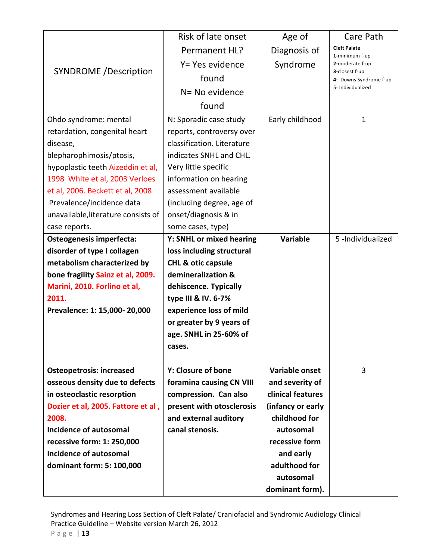|                                     | Risk of late onset            | Age of            | Care Path                                |
|-------------------------------------|-------------------------------|-------------------|------------------------------------------|
|                                     | Permanent HL?                 | Diagnosis of      | <b>Cleft Palate</b>                      |
|                                     | Y= Yes evidence               | Syndrome          | 1-minimum f-up<br>2-moderate f-up        |
| <b>SYNDROME</b> /Description        | found                         |                   | 3-closest f-up<br>4- Downs Syndrome f-up |
|                                     | N= No evidence                |                   | 5- Individualized                        |
|                                     |                               |                   |                                          |
|                                     | found                         |                   |                                          |
| Ohdo syndrome: mental               | N: Sporadic case study        | Early childhood   | $\mathbf{1}$                             |
| retardation, congenital heart       | reports, controversy over     |                   |                                          |
| disease,                            | classification. Literature    |                   |                                          |
| blepharophimosis/ptosis,            | indicates SNHL and CHL.       |                   |                                          |
| hypoplastic teeth Aizeddin et al,   | Very little specific          |                   |                                          |
| 1998 White et al, 2003 Verloes      | information on hearing        |                   |                                          |
| et al, 2006. Beckett et al, 2008    | assessment available          |                   |                                          |
| Prevalence/incidence data           | (including degree, age of     |                   |                                          |
| unavailable, literature consists of | onset/diagnosis & in          |                   |                                          |
| case reports.                       | some cases, type)             |                   |                                          |
| Osteogenesis imperfecta:            | Y: SNHL or mixed hearing      | <b>Variable</b>   | 5-Individualized                         |
| disorder of type I collagen         | loss including structural     |                   |                                          |
| metabolism characterized by         | <b>CHL &amp; otic capsule</b> |                   |                                          |
| bone fragility Sainz et al, 2009.   | demineralization &            |                   |                                          |
| Marini, 2010. Forlino et al,        | dehiscence. Typically         |                   |                                          |
| 2011.                               | type III & IV. 6-7%           |                   |                                          |
| Prevalence: 1: 15,000- 20,000       | experience loss of mild       |                   |                                          |
|                                     | or greater by 9 years of      |                   |                                          |
|                                     | age. SNHL in 25-60% of        |                   |                                          |
|                                     | cases.                        |                   |                                          |
|                                     |                               |                   |                                          |
| <b>Osteopetrosis: increased</b>     | Y: Closure of bone            | Variable onset    | 3                                        |
| osseous density due to defects      | foramina causing CN VIII      | and severity of   |                                          |
| in osteoclastic resorption          | compression. Can also         | clinical features |                                          |
| Dozier et al, 2005. Fattore et al,  | present with otosclerosis     | (infancy or early |                                          |
| 2008.                               | and external auditory         | childhood for     |                                          |
| <b>Incidence of autosomal</b>       | canal stenosis.               | autosomal         |                                          |
| recessive form: 1: 250,000          |                               | recessive form    |                                          |
| <b>Incidence of autosomal</b>       |                               | and early         |                                          |
| dominant form: 5: 100,000           |                               | adulthood for     |                                          |
|                                     |                               | autosomal         |                                          |
|                                     |                               | dominant form).   |                                          |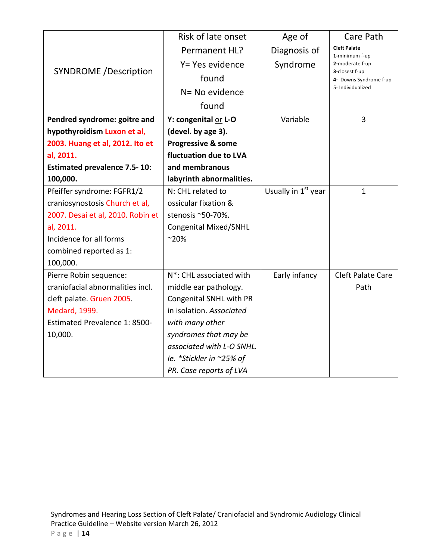|                                     | Risk of late onset                   | Age of                          | Care Path                                |
|-------------------------------------|--------------------------------------|---------------------------------|------------------------------------------|
|                                     | Permanent HL?                        | Diagnosis of                    | <b>Cleft Palate</b><br>1-minimum f-up    |
|                                     | Y= Yes evidence                      | Syndrome                        | 2-moderate f-up                          |
| <b>SYNDROME</b> /Description        | found                                |                                 | 3-closest f-up<br>4- Downs Syndrome f-up |
|                                     | N= No evidence                       |                                 | 5- Individualized                        |
|                                     | found                                |                                 |                                          |
| Pendred syndrome: goitre and        | Y: congenital or L-O                 | Variable                        | 3                                        |
| hypothyroidism Luxon et al,         | (devel. by age 3).                   |                                 |                                          |
|                                     |                                      |                                 |                                          |
| 2003. Huang et al, 2012. Ito et     | Progressive & some                   |                                 |                                          |
| al, 2011.                           | fluctuation due to LVA               |                                 |                                          |
| <b>Estimated prevalence 7.5-10:</b> | and membranous                       |                                 |                                          |
| 100,000.                            | labyrinth abnormalities.             |                                 |                                          |
| Pfeiffer syndrome: FGFR1/2          | N: CHL related to                    | Usually in 1 <sup>st</sup> year | $\mathbf{1}$                             |
| craniosynostosis Church et al,      | ossicular fixation &                 |                                 |                                          |
| 2007. Desai et al, 2010. Robin et   | stenosis ~50-70%.                    |                                 |                                          |
| al, 2011.                           | Congenital Mixed/SNHL                |                                 |                                          |
| Incidence for all forms             | $^{\sim}20\%$                        |                                 |                                          |
| combined reported as 1:             |                                      |                                 |                                          |
| 100,000.                            |                                      |                                 |                                          |
| Pierre Robin sequence:              | N <sup>*</sup> : CHL associated with | Early infancy                   | <b>Cleft Palate Care</b>                 |
| craniofacial abnormalities incl.    | middle ear pathology.                |                                 | Path                                     |
| cleft palate. Gruen 2005.           | Congenital SNHL with PR              |                                 |                                          |
| Medard, 1999.                       | in isolation. Associated             |                                 |                                          |
| Estimated Prevalence 1: 8500-       | with many other                      |                                 |                                          |
| 10,000.                             | syndromes that may be                |                                 |                                          |
|                                     | associated with L-O SNHL.            |                                 |                                          |
|                                     | le. *Stickler in ~25% of             |                                 |                                          |
|                                     | PR. Case reports of LVA              |                                 |                                          |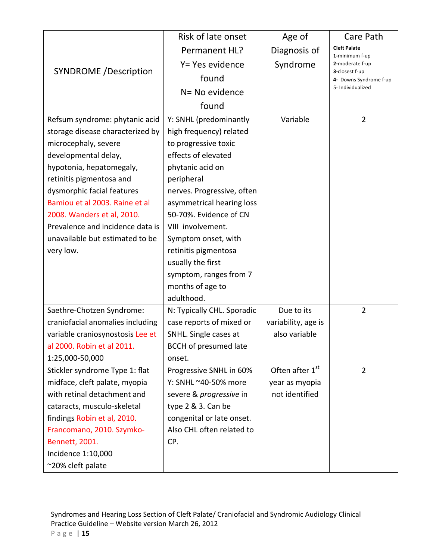|                                  | Risk of late onset           | Age of              | Care Path                                |
|----------------------------------|------------------------------|---------------------|------------------------------------------|
| <b>SYNDROME /Description</b>     | Permanent HL?                | Diagnosis of        | <b>Cleft Palate</b>                      |
|                                  | Y= Yes evidence              | Syndrome            | 1-minimum f-up<br>2-moderate f-up        |
|                                  | found                        |                     | 3-closest f-up<br>4- Downs Syndrome f-up |
|                                  | N= No evidence               |                     | 5- Individualized                        |
|                                  |                              |                     |                                          |
|                                  | found                        |                     |                                          |
| Refsum syndrome: phytanic acid   | Y: SNHL (predominantly       | Variable            | $\overline{2}$                           |
| storage disease characterized by | high frequency) related      |                     |                                          |
| microcephaly, severe             | to progressive toxic         |                     |                                          |
| developmental delay,             | effects of elevated          |                     |                                          |
| hypotonia, hepatomegaly,         | phytanic acid on             |                     |                                          |
| retinitis pigmentosa and         | peripheral                   |                     |                                          |
| dysmorphic facial features       | nerves. Progressive, often   |                     |                                          |
| Bamiou et al 2003. Raine et al   | asymmetrical hearing loss    |                     |                                          |
| 2008. Wanders et al, 2010.       | 50-70%. Evidence of CN       |                     |                                          |
| Prevalence and incidence data is | VIII involvement.            |                     |                                          |
| unavailable but estimated to be  | Symptom onset, with          |                     |                                          |
| very low.                        | retinitis pigmentosa         |                     |                                          |
|                                  | usually the first            |                     |                                          |
|                                  | symptom, ranges from 7       |                     |                                          |
|                                  | months of age to             |                     |                                          |
|                                  | adulthood.                   |                     |                                          |
| Saethre-Chotzen Syndrome:        | N: Typically CHL. Sporadic   | Due to its          | $\overline{2}$                           |
| craniofacial anomalies including | case reports of mixed or     | variability, age is |                                          |
| variable craniosynostosis Lee et | SNHL. Single cases at        | also variable       |                                          |
| al 2000. Robin et al 2011.       | <b>BCCH</b> of presumed late |                     |                                          |
| 1:25,000-50,000                  | onset.                       |                     |                                          |
| Stickler syndrome Type 1: flat   | Progressive SNHL in 60%      | Often after 1st     | $\overline{2}$                           |
| midface, cleft palate, myopia    | Y: SNHL ~40-50% more         | year as myopia      |                                          |
| with retinal detachment and      | severe & progressive in      | not identified      |                                          |
| cataracts, musculo-skeletal      | type 2 & 3. Can be           |                     |                                          |
| findings Robin et al, 2010.      | congenital or late onset.    |                     |                                          |
| Francomano, 2010. Szymko-        | Also CHL often related to    |                     |                                          |
| Bennett, 2001.                   | CP.                          |                     |                                          |
| Incidence 1:10,000               |                              |                     |                                          |
| ~20% cleft palate                |                              |                     |                                          |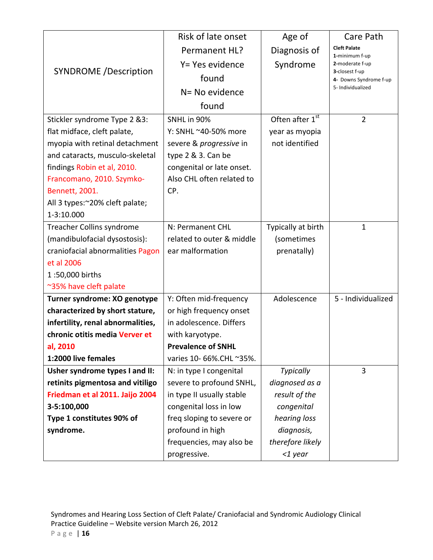|                                   | Risk of late onset             | Age of             | Care Path                                |
|-----------------------------------|--------------------------------|--------------------|------------------------------------------|
| <b>SYNDROME</b> /Description      | Permanent HL?                  | Diagnosis of       | <b>Cleft Palate</b>                      |
|                                   | Y= Yes evidence                | Syndrome           | 1-minimum f-up<br>2-moderate f-up        |
|                                   | found                          |                    | 3-closest f-up<br>4- Downs Syndrome f-up |
|                                   | N= No evidence                 |                    | 5- Individualized                        |
|                                   |                                |                    |                                          |
|                                   | found                          |                    |                                          |
| Stickler syndrome Type 2 &3:      | SNHL in 90%                    | Often after 1st    | $\overline{2}$                           |
| flat midface, cleft palate,       | Y: SNHL ~40-50% more           | year as myopia     |                                          |
| myopia with retinal detachment    | severe & <i>progressive</i> in | not identified     |                                          |
| and cataracts, musculo-skeletal   | type 2 & 3. Can be             |                    |                                          |
| findings Robin et al, 2010.       | congenital or late onset.      |                    |                                          |
| Francomano, 2010. Szymko-         | Also CHL often related to      |                    |                                          |
| Bennett, 2001.                    | CP.                            |                    |                                          |
| All 3 types:~20% cleft palate;    |                                |                    |                                          |
| 1-3:10.000                        |                                |                    |                                          |
| Treacher Collins syndrome         | N: Permanent CHL               | Typically at birth | 1                                        |
| (mandibulofacial dysostosis):     | related to outer & middle      | (sometimes         |                                          |
| craniofacial abnormalities Pagon  | ear malformation               | prenatally)        |                                          |
| et al 2006                        |                                |                    |                                          |
| 1:50,000 births                   |                                |                    |                                          |
| ~35% have cleft palate            |                                |                    |                                          |
| Turner syndrome: XO genotype      | Y: Often mid-frequency         | Adolescence        | 5 - Individualized                       |
| characterized by short stature,   | or high frequency onset        |                    |                                          |
| infertility, renal abnormalities, | in adolescence. Differs        |                    |                                          |
| chronic otitis media Verver et    | with karyotype.                |                    |                                          |
| al, 2010                          | <b>Prevalence of SNHL</b>      |                    |                                          |
| 1:2000 live females               | varies 10- 66%. CHL ~35%.      |                    |                                          |
| Usher syndrome types I and II:    | N: in type I congenital        | <b>Typically</b>   | 3                                        |
| retinits pigmentosa and vitiligo  | severe to profound SNHL,       | diagnosed as a     |                                          |
| Friedman et al 2011. Jaijo 2004   | in type II usually stable      | result of the      |                                          |
| 3-5:100,000                       | congenital loss in low         | congenital         |                                          |
| Type 1 constitutes 90% of         | freq sloping to severe or      | hearing loss       |                                          |
| syndrome.                         | profound in high               | diagnosis,         |                                          |
|                                   | frequencies, may also be       | therefore likely   |                                          |
|                                   | progressive.                   | <1 year            |                                          |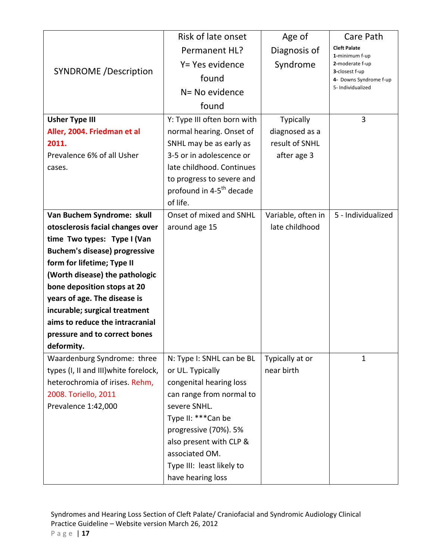|                                                                | Risk of late onset                                                | Age of                               | Care Path                                |
|----------------------------------------------------------------|-------------------------------------------------------------------|--------------------------------------|------------------------------------------|
| <b>SYNDROME</b> /Description                                   | Permanent HL?                                                     | Diagnosis of                         | <b>Cleft Palate</b>                      |
|                                                                | Y= Yes evidence                                                   | Syndrome                             | 1-minimum f-up<br>2-moderate f-up        |
|                                                                | found                                                             |                                      | 3-closest f-up<br>4- Downs Syndrome f-up |
|                                                                | N= No evidence                                                    |                                      | 5- Individualized                        |
|                                                                |                                                                   |                                      |                                          |
|                                                                | found                                                             |                                      |                                          |
| <b>Usher Type III</b>                                          | Y: Type III often born with                                       | Typically                            | 3                                        |
| Aller, 2004. Friedman et al                                    | normal hearing. Onset of                                          | diagnosed as a                       |                                          |
| 2011.                                                          | SNHL may be as early as                                           | result of SNHL                       |                                          |
| Prevalence 6% of all Usher                                     | 3-5 or in adolescence or                                          | after age 3                          |                                          |
| cases.                                                         | late childhood. Continues                                         |                                      |                                          |
|                                                                | to progress to severe and<br>profound in 4-5 <sup>th</sup> decade |                                      |                                          |
|                                                                | of life.                                                          |                                      |                                          |
|                                                                | Onset of mixed and SNHL                                           |                                      | 5 - Individualized                       |
| Van Buchem Syndrome: skull<br>otosclerosis facial changes over |                                                                   | Variable, often in<br>late childhood |                                          |
| time Two types: Type I (Van                                    | around age 15                                                     |                                      |                                          |
| <b>Buchem's disease) progressive</b>                           |                                                                   |                                      |                                          |
| form for lifetime; Type II                                     |                                                                   |                                      |                                          |
| (Worth disease) the pathologic                                 |                                                                   |                                      |                                          |
| bone deposition stops at 20                                    |                                                                   |                                      |                                          |
| years of age. The disease is                                   |                                                                   |                                      |                                          |
| incurable; surgical treatment                                  |                                                                   |                                      |                                          |
| aims to reduce the intracranial                                |                                                                   |                                      |                                          |
| pressure and to correct bones                                  |                                                                   |                                      |                                          |
| deformity.                                                     |                                                                   |                                      |                                          |
| Waardenburg Syndrome: three                                    | N: Type I: SNHL can be BL                                         | Typically at or                      | $\mathbf{1}$                             |
| types (I, II and III) white forelock,                          | or UL. Typically                                                  | near birth                           |                                          |
| heterochromia of irises. Rehm,                                 | congenital hearing loss                                           |                                      |                                          |
| 2008. Toriello, 2011                                           | can range from normal to                                          |                                      |                                          |
| Prevalence 1:42,000                                            | severe SNHL.                                                      |                                      |                                          |
|                                                                | Type II: *** Can be                                               |                                      |                                          |
|                                                                | progressive (70%). 5%                                             |                                      |                                          |
|                                                                | also present with CLP &                                           |                                      |                                          |
|                                                                | associated OM.                                                    |                                      |                                          |
|                                                                | Type III: least likely to                                         |                                      |                                          |
|                                                                | have hearing loss                                                 |                                      |                                          |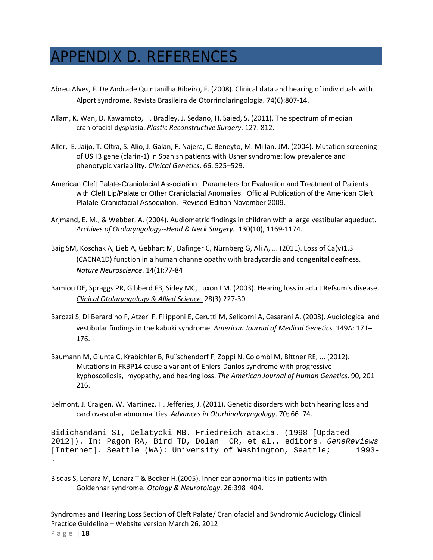## APPENDIX D. REFERENCES

- Abreu Alves, F. De Andrade Quintanilha Ribeiro, F. (2008). Clinical data and hearing of individuals with Alport syndrome. Revista Brasileira de Otorrinolaringologia. 74(6):807‐14.
- Allam, K. Wan, D. Kawamoto, H. Bradley, J. Sedano, H. Saied, S. (2011). The spectrum of median craniofacial dysplasia. *Plastic Reconstructive Surgery*. 127: 812.
- Aller, E. Jaijo, T. Oltra, S. Alio, J. Galan, F. Najera, C. Beneyto, M. Millan, JM. (2004). Mutation screening of USH3 gene (clarin‐1) in Spanish patients with Usher syndrome: low prevalence and phenotypic variability. *Clinical Genetics*. 66: 525–529.
- American Cleft Palate-Craniofacial Association. Parameters for Evaluation and Treatment of Patients with Cleft Lip/Palate or Other Craniofacial Anomalies. Official Publication of the American Cleft Platate-Craniofacial Association. Revised Edition November 2009.
- Arjmand, E. M., & Webber, A. (2004). Audiometric findings in children with a large vestibular aqueduct. *Archives of Otolaryngology‐‐Head & Neck Surgery.* 130(10), 1169‐1174.
- Baig SM, Koschak A, Lieb A, Gebhart M, Dafinger C, Nürnberg G, Ali A, ... (2011). Loss of Ca(v)1.3 (CACNA1D) function in a human channelopathy with bradycardia and congenital deafness. *Nature Neuroscience*. 14(1):77‐84
- Bamiou DE, Spraggs PR, Gibberd FB, Sidey MC, Luxon LM. (2003). Hearing loss in adult Refsum's disease. *Clinical Otolaryngology & Allied Science*. 28(3):227‐30.
- Barozzi S, Di Berardino F, Atzeri F, Filipponi E, Cerutti M, Selicorni A, Cesarani A. (2008). Audiological and vestibular findings in the kabuki syndrome. *American Journal of Medical Genetics*. 149A: 171– 176.
- Baumann M, Giunta C, Krabichler B, Ru¨schendorf F, Zoppi N, Colombi M, Bittner RE, ... (2012). Mutations in FKBP14 cause a variant of Ehlers‐Danlos syndrome with progressive kyphoscoliosis, myopathy, and hearing loss. *The American Journal of Human Genetics*. 90, 201– 216.
- Belmont, J. Craigen, W. Martinez, H. Jefferies, J. (2011). Genetic disorders with both hearing loss and cardiovascular abnormalities. *Advances in Otorhinolaryngology*. 70; 66–74.

Bidichandani SI, Delatycki MB. Friedreich ataxia. (1998 [Updated 2012]). In: Pagon RA, Bird TD, Dolan CR, et al., editors. *GeneReviews* [Internet]. Seattle (WA): University of Washington, Seattle; 1993- .

Bisdas S, Lenarz M, Lenarz T & Becker H.(2005). Inner ear abnormalities in patients with Goldenhar syndrome. *Otology & Neurotology*. 26:398–404.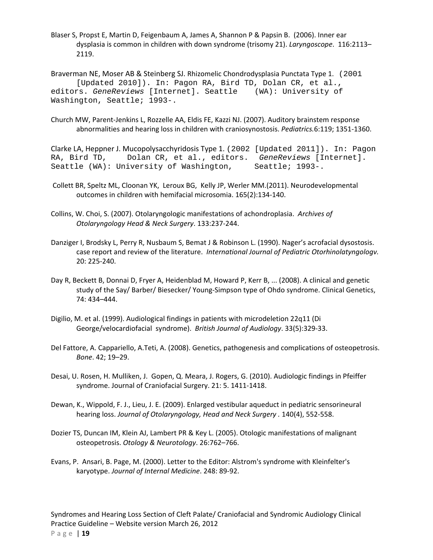Blaser S, Propst E, Martin D, Feigenbaum A, James A, Shannon P & Papsin B. (2006). Inner ear dysplasia is common in children with down syndrome (trisomy 21). *Laryngoscope*. 116:2113– 2119.

Braverman NE, Moser AB & Steinberg SJ. Rhizomelic Chondrodysplasia Punctata Type 1. (2001 [Updated 2010]). In: Pagon RA, Bird TD, Dolan CR, et al., editors. *GeneReviews* [Internet]. Seattle (WA): University of Washington, Seattle; 1993-.

Church MW, Parent‐Jenkins L, Rozzelle AA, Eldis FE, Kazzi NJ. (2007). Auditory brainstem response abnormalities and hearing loss in children with craniosynostosis. *Pediatrics.*6:119; 1351‐1360.

Clarke LA, Heppner J. Mucopolysacchyridosis Type 1. (2002 [Updated 2011]). In: Pagon RA, Bird TD, Dolan CR, et al., editors. *GeneReviews* [Internet]. Seattle (WA): University of Washington, Seattle; 1993-.

- Collett BR, Speltz ML, Cloonan YK, Leroux BG, Kelly JP, Werler MM.(2011). Neurodevelopmental outcomes in children with hemifacial microsomia. 165(2):134‐140.
- Collins, W. Choi, S. (2007). Otolaryngologic manifestations of achondroplasia. *Archives of Otolaryngology Head & Neck Surgery*. 133:237‐244.
- Danziger I, Brodsky L, Perry R, Nusbaum S, Bemat J & Robinson L. (1990). Nager's acrofacial dysostosis. case report and review of the literature. *International Journal of Pediatric Otorhinolatyngologv.* 20: 225‐240.
- Day R, Beckett B, Donnai D, Fryer A, Heidenblad M, Howard P, Kerr B, ... (2008). A clinical and genetic study of the Say/ Barber/ Biesecker/ Young‐Simpson type of Ohdo syndrome. Clinical Genetics, 74: 434–444.
- Digilio, M. et al. (1999). Audiological findings in patients with microdeletion 22q11 (Di George/velocardiofacial syndrome). *British Journal of Audiology*. 33(5):329‐33.
- Del Fattore, A. Cappariello, A.Teti, A. (2008). Genetics, pathogenesis and complications of osteopetrosis. *Bone*. 42; 19–29.
- Desai, U. Rosen, H. Mulliken, J. Gopen, Q. Meara, J. Rogers, G. (2010). Audiologic findings in Pfeiffer syndrome. Journal of Craniofacial Surgery. 21: 5. 1411‐1418.
- Dewan, K., Wippold, F. J., Lieu, J. E. (2009). Enlarged vestibular aqueduct in pediatric sensorineural hearing loss. *Journal of Otolaryngology, Head and Neck Surgery .* 140(4), 552‐558.
- Dozier TS, Duncan IM, Klein AJ, Lambert PR & Key L. (2005). Otologic manifestations of malignant osteopetrosis. *Otology & Neurotology*. 26:762–766.
- Evans, P. Ansari, B. Page, M. (2000). Letter to the Editor: Alstrom's syndrome with Kleinfelter's karyotype. *Journal of Internal Medicine*. 248: 89‐92.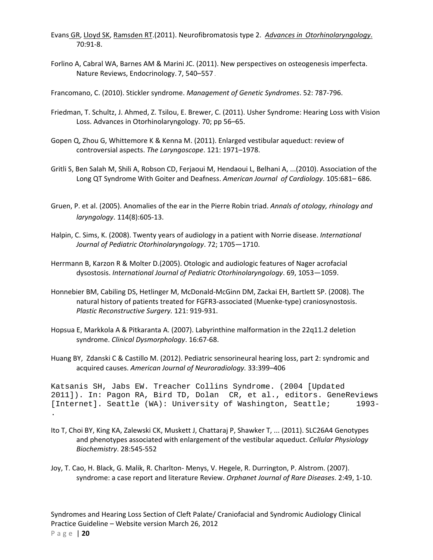- Evans GR, Lloyd SK, Ramsden RT.(2011). Neurofibromatosis type 2. *Advances in Otorhinolaryngology*. 70:91‐8.
- Forlino A, Cabral WA, Barnes AM & Marini JC. (2011). New perspectives on osteogenesis imperfecta. Nature Reviews, Endocrinology. 7, 540–557 .

Francomano, C. (2010). Stickler syndrome. *Management of Genetic Syndromes*. 52: 787‐796.

- Friedman, T. Schultz, J. Ahmed, Z. Tsilou, E. Brewer, C. (2011). Usher Syndrome: Hearing Loss with Vision Loss. Advances in Otorhinolaryngology. 70; pp 56–65.
- Gopen Q, Zhou G, Whittemore K & Kenna M. (2011). Enlarged vestibular aqueduct: review of controversial aspects. *The Laryngoscope*. 121: 1971–1978.
- Gritli S, Ben Salah M, Shili A, Robson CD, Ferjaoui M, Hendaoui L, Belhani A, ...(2010). Association of the Long QT Syndrome With Goiter and Deafness. *American Journal of Cardiology*. 105:681– 686.
- Gruen, P. et al. (2005). Anomalies of the ear in the Pierre Robin triad. *Annals of otology, rhinology and laryngology*. 114(8):605‐13.
- Halpin, C. Sims, K. (2008). Twenty years of audiology in a patient with Norrie disease. *International Journal of Pediatric Otorhinolaryngology*. 72; 1705—1710.
- Herrmann B, Karzon R & Molter D.(2005). Otologic and audiologic features of Nager acrofacial dysostosis. *International Journal of Pediatric Otorhinolaryngology*. 69, 1053—1059.
- Honnebier BM, Cabiling DS, Hetlinger M, McDonald‐McGinn DM, Zackai EH, Bartlett SP. (2008). The natural history of patients treated for FGFR3‐associated (Muenke‐type) craniosynostosis. *Plastic Reconstructive Surgery.* 121: 919‐931.
- Hopsua E, Markkola A & Pitkaranta A. (2007). Labyrinthine malformation in the 22q11.2 deletion syndrome. *Clinical Dysmorphology*. 16:67‐68.
- Huang BY, Zdanski C & Castillo M. (2012). Pediatric sensorineural hearing loss, part 2: syndromic and acquired causes. *American Journal of Neuroradiology.* 33:399–406

Katsanis SH, Jabs EW. Treacher Collins Syndrome. (2004 [Updated 2011]). In: Pagon RA, Bird TD, Dolan CR, et al., editors. GeneReviews [Internet]. Seattle (WA): University of Washington, Seattle; 1993-.

- Ito T, Choi BY, King KA, Zalewski CK, Muskett J, Chattaraj P, Shawker T, ... (2011). SLC26A4 Genotypes and phenotypes associated with enlargement of the vestibular aqueduct. *Cellular Physiology Biochemistry*. 28:545‐552
- Joy, T. Cao, H. Black, G. Malik, R. Charlton‐ Menys, V. Hegele, R. Durrington, P. Alstrom. (2007). syndrome: a case report and literature Review. *Orphanet Journal of Rare Diseases*. 2:49, 1‐10.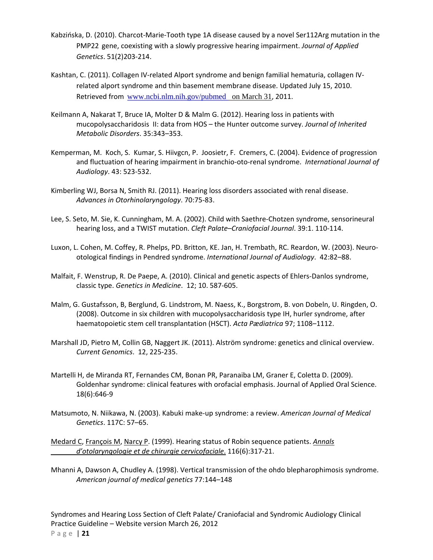- Kabzińska, D. (2010). Charcot‐Marie‐Tooth type 1A disease caused by a novel Ser112Arg mutation in the PMP22 gene, coexisting with a slowly progressive hearing impairment. *Journal of Applied Genetics*. 51(2)203‐214.
- Kashtan, C. (2011). Collagen IV‐related Alport syndrome and benign familial hematuria, collagen IV‐ related alport syndrome and thin basement membrane disease. Updated July 15, 2010. Retrieved from www.ncbi.nlm.nih.gov/pubmed on March 31, 2011.
- Keilmann A, Nakarat T, Bruce IA, Molter D & Malm G. (2012). Hearing loss in patients with mucopolysaccharidosis II: data from HOS – the Hunter outcome survey. *Journal of Inherited Metabolic Disorders*. 35:343–353.
- Kemperman, M. Koch, S. Kumar, S. Hiivgcn, P. Joosietr, F. Cremers, C. (2004). Evidence of progression and fluctuation of hearing impairment in branchio‐oto‐renal syndrome. *International Journal of Audiology*. 43: 523‐532.
- Kimberling WJ, Borsa N, Smith RJ. (2011). Hearing loss disorders associated with renal disease. *Advances in Otorhinolaryngology*. 70:75‐83.
- Lee, S. Seto, M. Sie, K. Cunningham, M. A. (2002). Child with Saethre‐Chotzen syndrome, sensorineural hearing loss, and a TWIST mutation. *Cleft Palate–Craniofacial Journal*. 39:1. 110‐114.
- Luxon, L. Cohen, M. Coffey, R. Phelps, PD. Britton, KE. Jan, H. Trembath, RC. Reardon, W. (2003). Neuro‐ otological findings in Pendred syndrome. *International Journal of Audiology*. 42:82–88.
- Malfait, F. Wenstrup, R. De Paepe, A. (2010). Clinical and genetic aspects of Ehlers‐Danlos syndrome, classic type. *Genetics in Medicine*. 12; 10. 587‐605.
- Malm, G. Gustafsson, B, Berglund, G. Lindstrom, M. Naess, K., Borgstrom, B. von Dobeln, U. Ringden, O. (2008). Outcome in six children with mucopolysaccharidosis type IH, hurler syndrome, after haematopoietic stem cell transplantation (HSCT). *Acta Pædiatrica* 97; 1108–1112.
- Marshall JD, Pietro M, Collin GB, Naggert JK. (2011). Alström syndrome: genetics and clinical overview. *Current Genomics*. 12, 225‐235.
- Martelli H, de Miranda RT, Fernandes CM, Bonan PR, Paranaiba LM, Graner E, Coletta D. (2009). Goldenhar syndrome: clinical features with orofacial emphasis. Journal of Applied Oral Science. 18(6):646‐9
- Matsumoto, N. Niikawa, N. (2003). Kabuki make‐up syndrome: a review. *American Journal of Medical Genetics*. 117C: 57–65.
- Medard C, François M, Narcy P. (1999). Hearing status of Robin sequence patients. *Annals d'otolaryngologie et de chirurgie cervicofaciale*. 116(6):317‐21.
- Mhanni A, Dawson A, Chudley A. (1998). Vertical transmission of the ohdo blepharophimosis syndrome. *American journal of medical genetics* 77:144–148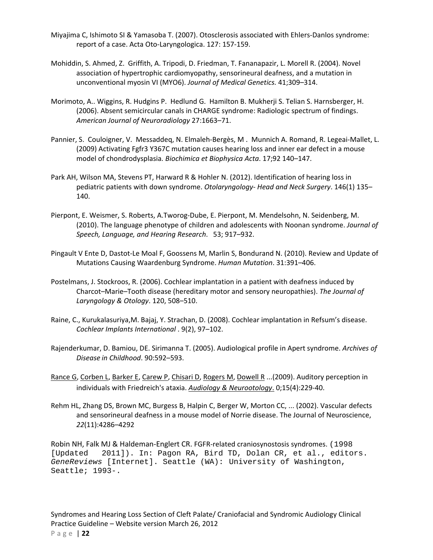- Miyajima C, Ishimoto SI & Yamasoba T. (2007). Otosclerosis associated with Ehlers‐Danlos syndrome: report of a case. Acta Oto‐Laryngologica. 127: 157‐159.
- Mohiddin, S. Ahmed, Z. Griffith, A. Tripodi, D. Friedman, T. Fananapazir, L. Morell R. (2004). Novel association of hypertrophic cardiomyopathy, sensorineural deafness, and a mutation in unconventional myosin VI (MYO6). *Journal of Medical Genetics.* 41;309–314.
- Morimoto, A.. Wiggins, R. Hudgins P. Hedlund G. Hamilton B. Mukherji S. Telian S. Harnsberger, H. (2006). Absent semicircular canals in CHARGE syndrome: Radiologic spectrum of findings. *American Journal of Neuroradiology* 27:1663–71.
- Pannier, S. Couloigner, V. Messaddeq, N. Elmaleh‐Bergès, M . Munnich A. Romand, R. Legeai‐Mallet, L. (2009) Activating Fgfr3 Y367C mutation causes hearing loss and inner ear defect in a mouse model of chondrodysplasia*. Biochimica et Biophysica Acta*. 17;92 140–147.
- Park AH, Wilson MA, Stevens PT, Harward R & Hohler N. (2012). Identification of hearing loss in pediatric patients with down syndrome. *Otolaryngology‐ Head and Neck Surgery*. 146(1) 135– 140.
- Pierpont, E. Weismer, S. Roberts, A.Tworog‐Dube, E. Pierpont, M. Mendelsohn, N. Seidenberg, M. (2010). The language phenotype of children and adolescents with Noonan syndrome. *Journal of Speech, Language, and Hearing Research*. 53; 917–932.
- Pingault V Ente D, Dastot‐Le Moal F, Goossens M, Marlin S, Bondurand N. (2010). Review and Update of Mutations Causing Waardenburg Syndrome. *Human Mutation*. 31:391–406.
- Postelmans, J. Stockroos, R. (2006). Cochlear implantation in a patient with deafness induced by Charcot–Marie–Tooth disease (hereditary motor and sensory neuropathies). *The Journal of Laryngology & Otology*. 120, 508–510.
- Raine, C., Kurukalasuriya,M. Bajaj, Y. Strachan, D. (2008). Cochlear implantation in Refsum's disease. *Cochlear Implants International* . 9(2), 97–102.
- Rajenderkumar, D. Bamiou, DE. Sirimanna T. (2005). Audiological profile in Apert syndrome. *Archives of Disease in Childhood*. 90:592–593.
- Rance G, Corben L, Barker E, Carew P, Chisari D, Rogers M, Dowell R ...(2009). Auditory perception in individuals with Friedreich's ataxia. *Audiology & Neurootology*. 0;15(4):229‐40.
- Rehm HL, Zhang DS, Brown MC, Burgess B, Halpin C, Berger W, Morton CC, ... (2002). Vascular defects and sensorineural deafness in a mouse model of Norrie disease. The Journal of Neuroscience, *22*(11):4286–4292

Robin NH, Falk MJ & Haldeman‐Englert CR. FGFR‐related craniosynostosis syndromes. (1998 [Updated 2011]). In: Pagon RA, Bird TD, Dolan CR, et al., editors. *GeneReviews* [Internet]. Seattle (WA): University of Washington, Seattle; 1993-.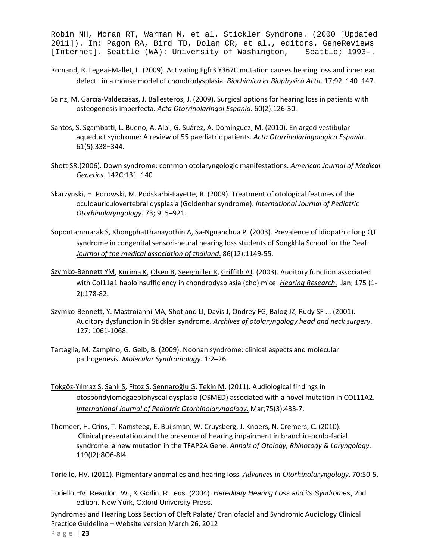Robin NH, Moran RT, Warman M, et al. Stickler Syndrome. (2000 [Updated 2011]). In: Pagon RA, Bird TD, Dolan CR, et al., editors. GeneReviews [Internet]. Seattle (WA): University of Washington, Seattle; 1993-.

- Romand, R. Legeai‐Mallet, L. (2009). Activating Fgfr3 Y367C mutation causes hearing loss and inner ear defect in a mouse model of chondrodysplasia*. Biochimica et Biophysica Acta*. 17;92. 140–147.
- Sainz, M. García‐Valdecasas, J. Ballesteros, J. (2009). Surgical options for hearing loss in patients with osteogenesis imperfecta. *Acta Otorrinolaringol Espania*. 60(2):126‐30.
- Santos, S. Sgambatti, L. Bueno, A. Albi, G. Suárez, A. Domínguez, M. (2010). Enlarged vestibular aqueduct syndrome: A review of 55 paediatric patients. *Acta Otorrinolaringologica Espania*. 61(5):338−344.
- Shott SR.(2006). Down syndrome: common otolaryngologic manifestations. *American Journal of Medical Genetics.* 142C:131–140
- Skarzynski, H. Porowski, M. Podskarbi‐Fayette, R. (2009). Treatment of otological features of the oculoauriculovertebral dysplasia (Goldenhar syndrome). *International Journal of Pediatric Otorhinolaryngology.* 73; 915–921.
- Sopontammarak S, Khongphatthanayothin A, Sa‐Nguanchua P. (2003). Prevalence of idiopathic long QT syndrome in congenital sensori-neural hearing loss students of Songkhla School for the Deaf. *Journal of the medical association of thailand*. 86(12):1149‐55.
- Szymko‐Bennett YM, Kurima K, Olsen B, Seegmiller R, Griffith AJ. (2003). Auditory function associated with Col11a1 haploinsufficiency in chondrodysplasia (cho) mice. *Hearing Research*. Jan; 175 (1‐ 2):178‐82.
- Szymko-Bennett, Y. Mastroianni MA, Shotland LI, Davis J, Ondrey FG, Balog JZ, Rudy SF ... (2001). Auditory dysfunction in Stickler syndrome. *Archives of otolaryngology head and neck surgery*. 127: 1061‐1068.
- Tartaglia, M. Zampino, G. Gelb, B. (2009). Noonan syndrome: clinical aspects and molecular pathogenesis. *Molecular Syndromology*. 1:2–26.
- Tokgöz‐Yılmaz S, Sahlı S, Fitoz S, Sennaroğlu G, Tekin M. (2011). Audiological findings in otospondylomegaepiphyseal dysplasia (OSMED) associated with a novel mutation in COL11A2. *International Journal of Pediatric Otorhinolaryngology*. Mar;75(3):433‐7.
- Thomeer, H. Crins, T. Kamsteeg, E. Buijsman, W. Cruysberg, J. Knoers, N. Cremers, C. (2010). Clinical presentation and the presence of hearing impairment in branchio‐oculo‐facial syndrome: a new mutation in the TFAP2A Gene. *Annals of Otology, Rhinotogy & Laryngology*. 119(I2):8O6‐8I4.
- Toriello, HV. (2011). Pigmentary anomalies and hearing loss. *Advances in Otorhinolaryngology*. 70:50‐5.
- Toriello HV, Reardon, W., & Gorlin, R., eds. (2004). *Hereditary Hearing Loss and its Syndromes*, 2nd edition. New York, Oxford University Press.